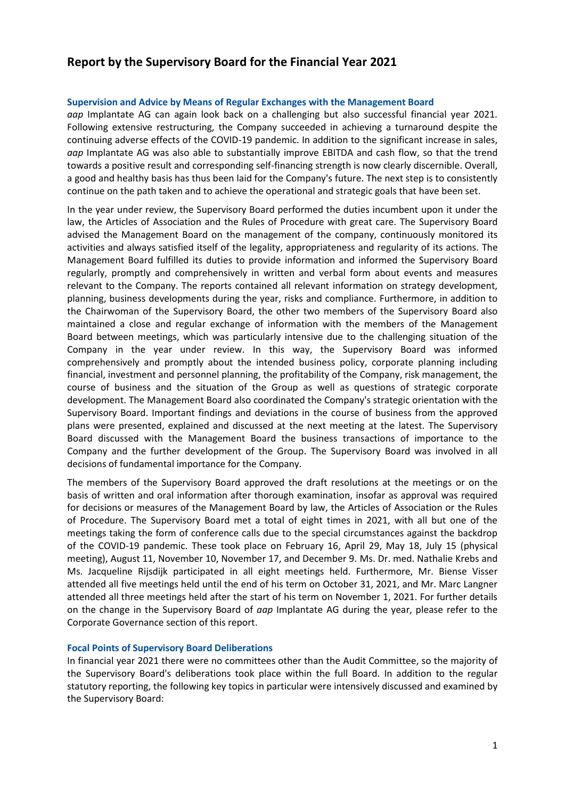# **Report by the Supervisory Board for the Financial Year 2021**

#### **Supervision and Advice by Means of Regular Exchanges with the Management Board**

*aap* Implantate AG can again look back on a challenging but also successful financial year 2021. Following extensive restructuring, the Company succeeded in achieving a turnaround despite the continuing adverse effects of the COVID-19 pandemic. In addition to the significant increase in sales, *aap* Implantate AG was also able to substantially improve EBITDA and cash flow, so that the trend towards a positive result and corresponding self-financing strength is now clearly discernible. Overall, a good and healthy basis has thus been laid for the Company's future. The next step is to consistently continue on the path taken and to achieve the operational and strategic goals that have been set.

In the year under review, the Supervisory Board performed the duties incumbent upon it under the law, the Articles of Association and the Rules of Procedure with great care. The Supervisory Board advised the Management Board on the management of the company, continuously monitored its activities and always satisfied itself of the legality, appropriateness and regularity of its actions. The Management Board fulfilled its duties to provide information and informed the Supervisory Board regularly, promptly and comprehensively in written and verbal form about events and measures relevant to the Company. The reports contained all relevant information on strategy development, planning, business developments during the year, risks and compliance. Furthermore, in addition to the Chairwoman of the Supervisory Board, the other two members of the Supervisory Board also maintained a close and regular exchange of information with the members of the Management Board between meetings, which was particularly intensive due to the challenging situation of the Company in the year under review. In this way, the Supervisory Board was informed comprehensively and promptly about the intended business policy, corporate planning including financial, investment and personnel planning, the profitability of the Company, risk management, the course of business and the situation of the Group as well as questions of strategic corporate development. The Management Board also coordinated the Company's strategic orientation with the Supervisory Board. Important findings and deviations in the course of business from the approved plans were presented, explained and discussed at the next meeting at the latest. The Supervisory Board discussed with the Management Board the business transactions of importance to the Company and the further development of the Group. The Supervisory Board was involved in all decisions of fundamental importance for the Company.

The members of the Supervisory Board approved the draft resolutions at the meetings or on the basis of written and oral information after thorough examination, insofar as approval was required for decisions or measures of the Management Board by law, the Articles of Association or the Rules of Procedure. The Supervisory Board met a total of eight times in 2021, with all but one of the meetings taking the form of conference calls due to the special circumstances against the backdrop of the COVID-19 pandemic. These took place on February 16, April 29, May 18, July 15 (physical meeting), August 11, November 10, November 17, and December 9. Ms. Dr. med. Nathalie Krebs and Ms. Jacqueline Rijsdijk participated in all eight meetings held. Furthermore, Mr. Biense Visser attended all five meetings held until the end of his term on October 31, 2021, and Mr. Marc Langner attended all three meetings held after the start of his term on November 1, 2021. For further details on the change in the Supervisory Board of *aap* Implantate AG during the year, please refer to the Corporate Governance section of this report.

#### **Focal Points of Supervisory Board Deliberations**

In financial year 2021 there were no committees other than the Audit Committee, so the majority of the Supervisory Board's deliberations took place within the full Board. In addition to the regular statutory reporting, the following key topics in particular were intensively discussed and examined by the Supervisory Board: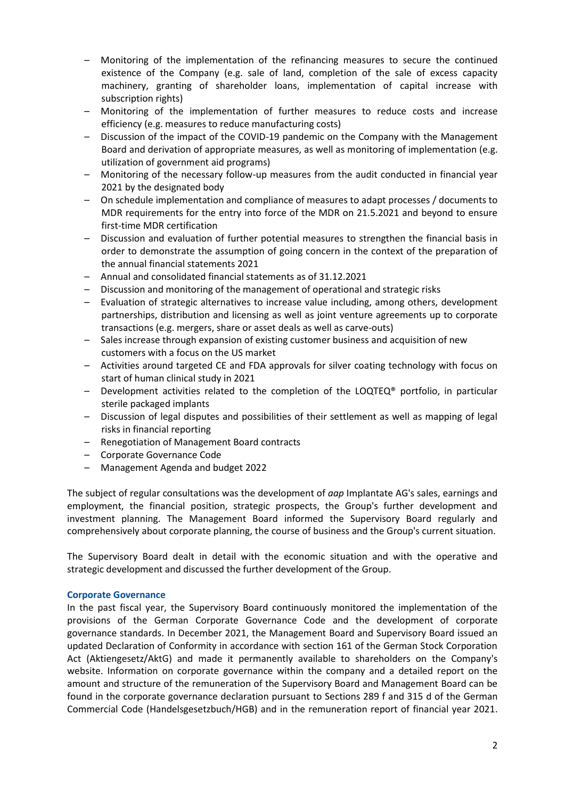- Monitoring of the implementation of the refinancing measures to secure the continued existence of the Company (e.g. sale of land, completion of the sale of excess capacity machinery, granting of shareholder loans, implementation of capital increase with subscription rights)
- Monitoring of the implementation of further measures to reduce costs and increase efficiency (e.g. measures to reduce manufacturing costs)
- Discussion of the impact of the COVID-19 pandemic on the Company with the Management Board and derivation of appropriate measures, as well as monitoring of implementation (e.g. utilization of government aid programs)
- Monitoring of the necessary follow-up measures from the audit conducted in financial year 2021 by the designated body
- On schedule implementation and compliance of measures to adapt processes / documents to MDR requirements for the entry into force of the MDR on 21.5.2021 and beyond to ensure first-time MDR certification
- Discussion and evaluation of further potential measures to strengthen the financial basis in order to demonstrate the assumption of going concern in the context of the preparation of the annual financial statements 2021
- Annual and consolidated financial statements as of 31.12.2021
- Discussion and monitoring of the management of operational and strategic risks
- Evaluation of strategic alternatives to increase value including, among others, development partnerships, distribution and licensing as well as joint venture agreements up to corporate transactions (e.g. mergers, share or asset deals as well as carve-outs)
- Sales increase through expansion of existing customer business and acquisition of new customers with a focus on the US market
- Activities around targeted CE and FDA approvals for silver coating technology with focus on start of human clinical study in 2021
- Development activities related to the completion of the LOQTEQ<sup>®</sup> portfolio, in particular sterile packaged implants
- Discussion of legal disputes and possibilities of their settlement as well as mapping of legal risks in financial reporting
- Renegotiation of Management Board contracts
- Corporate Governance Code
- Management Agenda and budget 2022

The subject of regular consultations was the development of *aap* Implantate AG's sales, earnings and employment, the financial position, strategic prospects, the Group's further development and investment planning. The Management Board informed the Supervisory Board regularly and comprehensively about corporate planning, the course of business and the Group's current situation.

The Supervisory Board dealt in detail with the economic situation and with the operative and strategic development and discussed the further development of the Group.

## **Corporate Governance**

In the past fiscal year, the Supervisory Board continuously monitored the implementation of the provisions of the German Corporate Governance Code and the development of corporate governance standards. In December 2021, the Management Board and Supervisory Board issued an updated Declaration of Conformity in accordance with section 161 of the German Stock Corporation Act (Aktiengesetz/AktG) and made it permanently available to shareholders on the Company's website. Information on corporate governance within the company and a detailed report on the amount and structure of the remuneration of the Supervisory Board and Management Board can be found in the corporate governance declaration pursuant to Sections 289 f and 315 d of the German Commercial Code (Handelsgesetzbuch/HGB) and in the remuneration report of financial year 2021.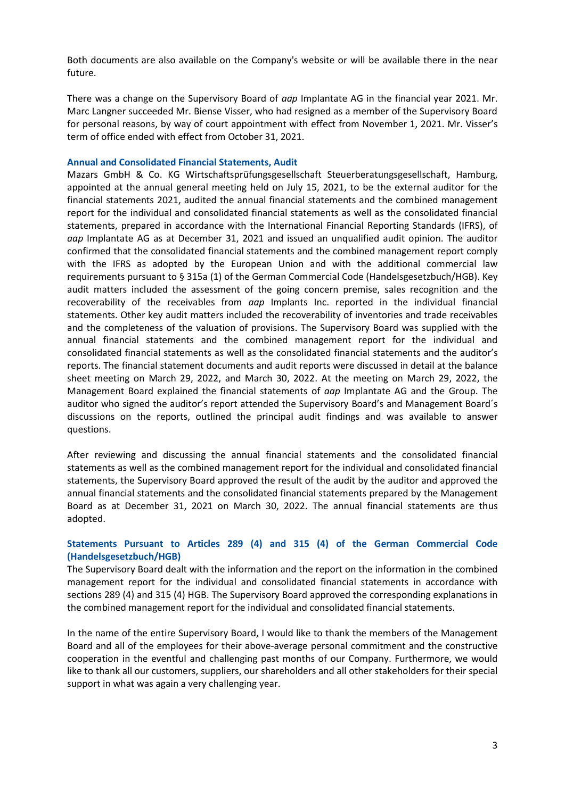Both documents are also available on the Company's website or will be available there in the near future.

There was a change on the Supervisory Board of *aap* Implantate AG in the financial year 2021. Mr. Marc Langner succeeded Mr. Biense Visser, who had resigned as a member of the Supervisory Board for personal reasons, by way of court appointment with effect from November 1, 2021. Mr. Visser's term of office ended with effect from October 31, 2021.

## **Annual and Consolidated Financial Statements, Audit**

Mazars GmbH & Co. KG Wirtschaftsprüfungsgesellschaft Steuerberatungsgesellschaft, Hamburg, appointed at the annual general meeting held on July 15, 2021, to be the external auditor for the financial statements 2021, audited the annual financial statements and the combined management report for the individual and consolidated financial statements as well as the consolidated financial statements, prepared in accordance with the International Financial Reporting Standards (IFRS), of *aap* Implantate AG as at December 31, 2021 and issued an unqualified audit opinion. The auditor confirmed that the consolidated financial statements and the combined management report comply with the IFRS as adopted by the European Union and with the additional commercial law requirements pursuant to § 315a (1) of the German Commercial Code (Handelsgesetzbuch/HGB). Key audit matters included the assessment of the going concern premise, sales recognition and the recoverability of the receivables from *aap* Implants Inc. reported in the individual financial statements. Other key audit matters included the recoverability of inventories and trade receivables and the completeness of the valuation of provisions. The Supervisory Board was supplied with the annual financial statements and the combined management report for the individual and consolidated financial statements as well as the consolidated financial statements and the auditor's reports. The financial statement documents and audit reports were discussed in detail at the balance sheet meeting on March 29, 2022, and March 30, 2022. At the meeting on March 29, 2022, the Management Board explained the financial statements of *aap* Implantate AG and the Group. The auditor who signed the auditor's report attended the Supervisory Board's and Management Board´s discussions on the reports, outlined the principal audit findings and was available to answer questions.

After reviewing and discussing the annual financial statements and the consolidated financial statements as well as the combined management report for the individual and consolidated financial statements, the Supervisory Board approved the result of the audit by the auditor and approved the annual financial statements and the consolidated financial statements prepared by the Management Board as at December 31, 2021 on March 30, 2022. The annual financial statements are thus adopted.

## **Statements Pursuant to Articles 289 (4) and 315 (4) of the German Commercial Code (Handelsgesetzbuch/HGB)**

The Supervisory Board dealt with the information and the report on the information in the combined management report for the individual and consolidated financial statements in accordance with sections 289 (4) and 315 (4) HGB. The Supervisory Board approved the corresponding explanations in the combined management report for the individual and consolidated financial statements.

In the name of the entire Supervisory Board, I would like to thank the members of the Management Board and all of the employees for their above-average personal commitment and the constructive cooperation in the eventful and challenging past months of our Company. Furthermore, we would like to thank all our customers, suppliers, our shareholders and all other stakeholders for their special support in what was again a very challenging year.